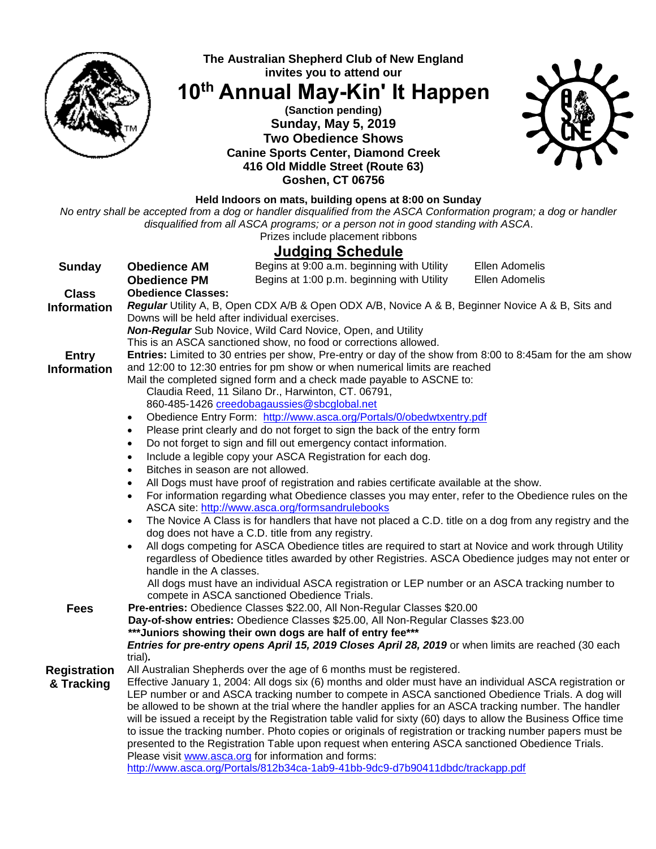

# **The Australian Shepherd Club of New England invites you to attend our**

**10th Annual May-Kin' It Happen**

## **(Sanction pending) Sunday, May 5, 2019 Two Obedience Shows Canine Sports Center, Diamond Creek 416 Old Middle Street (Route 63) Goshen, CT 06756**



### **Held Indoors on mats, building opens at 8:00 on Sunday**

*No entry shall be accepted from a dog or handler disqualified from the ASCA Conformation program; a dog or handler disqualified from all ASCA programs; or a person not in good standing with ASCA*.

Prizes include placement ribbons

# **Judging Schedule**

|                     | <u>Juuying Julicuulu</u>                                                                                                                                                                                      |  |
|---------------------|---------------------------------------------------------------------------------------------------------------------------------------------------------------------------------------------------------------|--|
| <b>Sunday</b>       | Ellen Adomelis<br>Begins at 9:00 a.m. beginning with Utility<br><b>Obedience AM</b>                                                                                                                           |  |
|                     | Begins at 1:00 p.m. beginning with Utility<br>Ellen Adomelis<br><b>Obedience PM</b>                                                                                                                           |  |
| <b>Class</b>        | <b>Obedience Classes:</b>                                                                                                                                                                                     |  |
| <b>Information</b>  | Regular Utility A, B, Open CDX A/B & Open ODX A/B, Novice A & B, Beginner Novice A & B, Sits and                                                                                                              |  |
|                     | Downs will be held after individual exercises.                                                                                                                                                                |  |
|                     | <b>Non-Regular</b> Sub Novice, Wild Card Novice, Open, and Utility                                                                                                                                            |  |
|                     | This is an ASCA sanctioned show, no food or corrections allowed.                                                                                                                                              |  |
| <b>Entry</b>        | Entries: Limited to 30 entries per show, Pre-entry or day of the show from 8:00 to 8:45am for the am show                                                                                                     |  |
| <b>Information</b>  | and 12:00 to 12:30 entries for pm show or when numerical limits are reached                                                                                                                                   |  |
|                     | Mail the completed signed form and a check made payable to ASCNE to:                                                                                                                                          |  |
|                     | Claudia Reed, 11 Silano Dr., Harwinton, CT. 06791,                                                                                                                                                            |  |
|                     | 860-485-1426 creedobagaussies@sbcglobal.net                                                                                                                                                                   |  |
|                     | Obedience Entry Form: http://www.asca.org/Portals/0/obedwtxentry.pdf<br>$\bullet$                                                                                                                             |  |
|                     | Please print clearly and do not forget to sign the back of the entry form<br>$\bullet$                                                                                                                        |  |
|                     | Do not forget to sign and fill out emergency contact information.                                                                                                                                             |  |
|                     | Include a legible copy your ASCA Registration for each dog.<br>$\bullet$                                                                                                                                      |  |
|                     | Bitches in season are not allowed.                                                                                                                                                                            |  |
|                     | All Dogs must have proof of registration and rabies certificate available at the show.                                                                                                                        |  |
|                     | For information regarding what Obedience classes you may enter, refer to the Obedience rules on the                                                                                                           |  |
|                     | ASCA site: http://www.asca.org/formsandrulebooks                                                                                                                                                              |  |
|                     | The Novice A Class is for handlers that have not placed a C.D. title on a dog from any registry and the<br>$\bullet$                                                                                          |  |
|                     | dog does not have a C.D. title from any registry.                                                                                                                                                             |  |
|                     | All dogs competing for ASCA Obedience titles are required to start at Novice and work through Utility                                                                                                         |  |
|                     | regardless of Obedience titles awarded by other Registries. ASCA Obedience judges may not enter or                                                                                                            |  |
|                     | handle in the A classes.                                                                                                                                                                                      |  |
|                     | All dogs must have an individual ASCA registration or LEP number or an ASCA tracking number to                                                                                                                |  |
|                     | compete in ASCA sanctioned Obedience Trials.                                                                                                                                                                  |  |
| <b>Fees</b>         | Pre-entries: Obedience Classes \$22.00, All Non-Regular Classes \$20.00                                                                                                                                       |  |
|                     | Day-of-show entries: Obedience Classes \$25.00, All Non-Regular Classes \$23.00                                                                                                                               |  |
|                     | *** Juniors showing their own dogs are half of entry fee***                                                                                                                                                   |  |
|                     | Entries for pre-entry opens April 15, 2019 Closes April 28, 2019 or when limits are reached (30 each                                                                                                          |  |
|                     | trial).                                                                                                                                                                                                       |  |
| <b>Registration</b> | All Australian Shepherds over the age of 6 months must be registered.                                                                                                                                         |  |
| & Tracking          | Effective January 1, 2004: All dogs six (6) months and older must have an individual ASCA registration or                                                                                                     |  |
|                     | LEP number or and ASCA tracking number to compete in ASCA sanctioned Obedience Trials. A dog will                                                                                                             |  |
|                     | be allowed to be shown at the trial where the handler applies for an ASCA tracking number. The handler                                                                                                        |  |
|                     | will be issued a receipt by the Registration table valid for sixty (60) days to allow the Business Office time                                                                                                |  |
|                     | to issue the tracking number. Photo copies or originals of registration or tracking number papers must be<br>presented to the Registration Table upon request when entering ASCA sanctioned Obedience Trials. |  |
|                     | Please visit www.asca.org for information and forms:                                                                                                                                                          |  |
|                     | http://www.asca.org/Portals/812b34ca-1ab9-41bb-9dc9-d7b90411dbdc/trackapp.pdf                                                                                                                                 |  |
|                     |                                                                                                                                                                                                               |  |